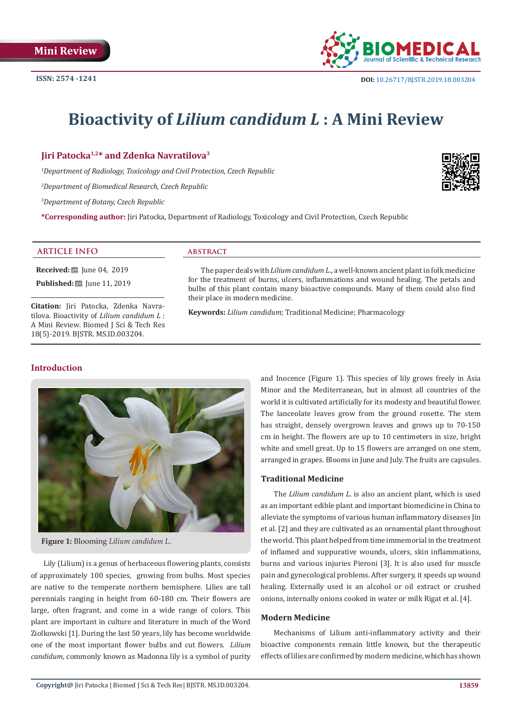

# **Bioactivity of** *Lilium candidum L* **: A Mini Review**

**Jiri Patocka1,2\* and Zdenka Navratilova3**

*1 Department of Radiology, Toxicology and Civil Protection, Czech Republic*

*2 Department of Biomedical Research, Czech Republic*

*3 Department of Botany, Czech Republic*

**\*Corresponding author:** Jiri Patocka, Department of Radiology, Toxicology and Civil Protection, Czech Republic

#### **ARTICLE INFO abstract**

**Received:** ■ June 04, 2019 **Published:** ■ June 11, 2019

**Citation:** Jiri Patocka, Zdenka Navratilova. Bioactivity of *Lilium candidum L* : A Mini Review. Biomed J Sci & Tech Res 18(5)-2019. BJSTR. MS.ID.003204.

The paper deals with *Lilium candidum L*., a well-known ancient plant in folk medicine for the treatment of burns, ulcers, inflammations and wound healing. The petals and bulbs of this plant contain many bioactive compounds. Many of them could also find their place in modern medicine.

**Keywords:** *Lilium candidum*; Traditional Medicine; Pharmacology

# **Introduction**



**Figure 1:** Blooming *Lilium candidum L*.

Lily (Lilium) is a genus of herbaceous flowering plants, consists of approximately 100 species, growing from bulbs. Most species are native to the temperate northern hemisphere. Lilies are tall perennials ranging in height from 60-180 cm. Their flowers are large, often fragrant, and come in a wide range of colors. This plant are important in culture and literature in much of the Word Ziolkowski [1]. During the last 50 years, lily has become worldwide one of the most important flower bulbs and cut flowers. *Lilium candidum*, commonly known as Madonna lily is a symbol of purity

and Inocence (Figure 1). This species of lily grows freely in Asia Minor and the Mediterranean, but in almost all countries of the world it is cultivated artificially for its modesty and beautiful flower. The lanceolate leaves grow from the ground rosette. The stem has straight, densely overgrown leaves and grows up to 70-150 cm in height. The flowers are up to 10 centimeters in size, bright white and smell great. Up to 15 flowers are arranged on one stem, arranged in grapes. Blooms in June and July. The fruits are capsules.

#### **Traditional Medicine**

The *Lilium candidum L*. is also an ancient plant, which is used as an important edible plant and important biomedicine in China to alleviate the symptoms of various human inflammatory diseases Jin et al. [2] and they are cultivated as an ornamental plant throughout the world. This plant helped from time immemorial in the treatment of inflamed and suppurative wounds, ulcers, skin inflammations, burns and various injuries Pieroni [3]. It is also used for muscle pain and gynecological problems. After surgery, it speeds up wound healing. Externally used is an alcohol or oil extract or crushed onions, internally onions cooked in water or milk Rigat et al. [4].

#### **Modern Medicine**

Mechanisms of Lilium anti-inflammatory activity and their bioactive components remain little known, but the therapeutic effects of lilies are confirmed by modern medicine, which has shown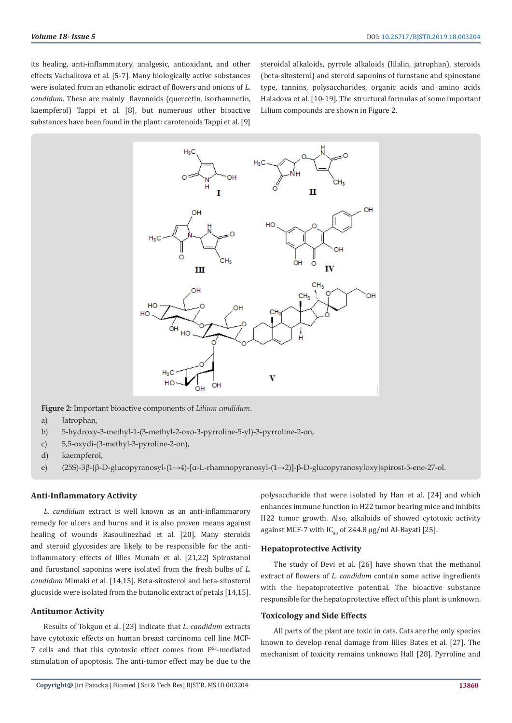its healing, anti-inflammatory, analgesic, antioxidant, and other effects Vachalkova et al. [5-7]. Many biologically active substances were isolated from an ethanolic extract of flowers and onions of *L*. *candidum*. These are mainly flavonoids (quercetin, isorhamnetin, kaempferol) Tappi et al. [8], but numerous other bioactive substances have been found in the plant: carotenoids Tappi et al. [9]

steroidal alkaloids, pyrrole alkaloids (lilalin, jatrophan), steroids (beta-sitosterol) and steroid saponins of furostane and spinostane type, tannins, polysaccharides, organic acids and amino acids Haladova et al. [10-19]. The structural formulas of some important Lilium compounds are shown in Figure 2.



**Figure 2:** Important bioactive components of *Lilium candidum*.

- a) Jatrophan,
- b) 5-hydroxy-3-methyl-1-(3-methyl-2-oxo-3-pyrroline-5-yl)-3-pyrroline-2-on,
- c) 5,5-oxydi-(3-methyl-3-pyroline-2-on),
- d) kaempferol,
- e) (25S)-3β-{β-D-glucopyranosyl-(1→4)-[α-L-rhamnopyranosyl-(1→2)]-β-D-glucopyranosyloxy}spirost-5-ene-27-ol.

#### **Anti-Inflammatory Activity**

*L. candidum* extract is well known as an anti-inflammarory remedy for ulcers and burns and it is also proven means against healing of wounds Rasoulinezhad et al. [20]. Many steroids and steroid glycosides are likely to be responsible for the antiinflammatory effects of lilies Munafo et al. [21,22] Spirostanol and furostanol saponins were isolated from the fresh bulbs of *L. candidum* Mimaki et al. [14,15]. Beta-sitosterol and beta-sitosterol glucoside were isolated from the butanolic extract of petals [14,15].

#### **Antitumor Activity**

Results of Tokgun et al. [23] indicate that *L. candidum* extracts have cytotoxic effects on human breast carcinoma cell line MCF-7 cells and that this cytotoxic effect comes from P<sup>53</sup>-mediated stimulation of apoptosis. The anti-tumor effect may be due to the

polysaccharide that were isolated by Han et al. [24] and which enhances immune function in H22 tumor bearing mice and inhibits H22 tumor growth. Also, alkaloids of showed cytotoxic activity against MCF-7 with  $IC_{50}$  of 244.8 µg/ml Al-Bayati [25].

#### **Hepatoprotective Activity**

The study of Devi et al. [26] have shown that the methanol extract of flowers of *L. candidum* contain some active ingredients with the hepatoprotective potential. The bioactive substance responsible for the hepatoprotective effect of this plant is unknown.

#### **Toxicology and Side Effects**

All parts of the plant are toxic in cats. Cats are the only species known to develop renal damage from lilies Bates et al. [27]. The mechanism of toxicity remains unknown Hall [28]. Pyrroline and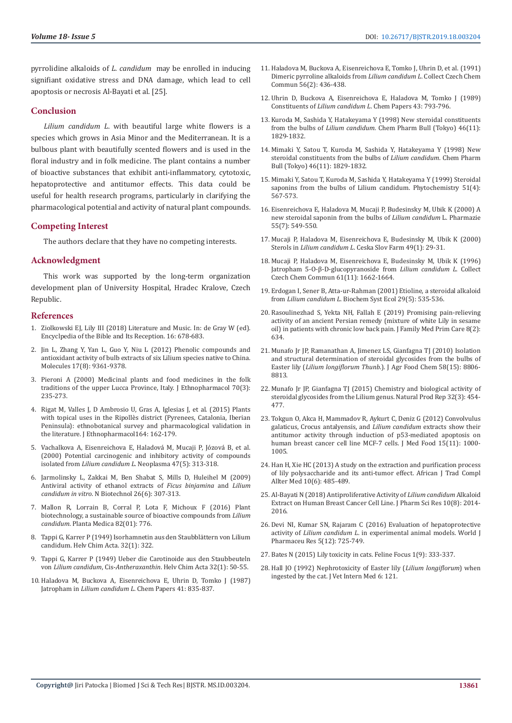pyrrolidine alkaloids of *L. candidum* may be enrolled in inducing signifiant oxidative stress and DNA damage, which lead to cell apoptosis or necrosis Al-Bayati et al. [25].

#### **Conclusion**

*Lilium candidum L*. with beautiful large white flowers is a species which grows in Asia Minor and the Mediterranean. It is a bulbous plant with beautifully scented flowers and is used in the floral industry and in folk medicine. The plant contains a number of bioactive substances that exhibit anti-inflammatory, cytotoxic, hepatoprotective and antitumor effects. This data could be useful for health research programs, particularly in clarifying the pharmacological potential and activity of natural plant compounds.

#### **Competing Interest**

The authors declare that they have no competing interests.

#### **Acknowledgment**

This work was supported by the long-term organization development plan of University Hospital, Hradec Kralove, Czech Republic.

#### **References**

- 1. [Ziolkowski EJ, Lily III \(2018\) Literature and Music. In: de Gray W \(ed\).](https://www.degruyter.com/view/db/ebr)  [Encyclpedia of the Bible and Its Reception. 16: 678-683.](https://www.degruyter.com/view/db/ebr)
- 2. [Jin L, Zhang Y, Yan L, Guo Y, Niu L \(2012\) Phenolic compounds and](https://www.ncbi.nlm.nih.gov/pubmed/22864243)  [antioxidant activity of bulb extracts of six Lilium species native to China.](https://www.ncbi.nlm.nih.gov/pubmed/22864243)  [Molecules 17\(8\): 9361-9378.](https://www.ncbi.nlm.nih.gov/pubmed/22864243)
- 3. [Pieroni A \(2000\) Medicinal plants and food medicines in the folk](https://www.ncbi.nlm.nih.gov/pubmed/10837988)  [traditions of the upper Lucca Province, Italy. J Ethnopharmacol 70\(3\):](https://www.ncbi.nlm.nih.gov/pubmed/10837988)  [235-273.](https://www.ncbi.nlm.nih.gov/pubmed/10837988)
- 4. [Rigat M, Valles J, D Ambrosio U, Gras A, Iglesias J, et al. \(2015\) Plants](https://www.ncbi.nlm.nih.gov/pubmed/25666424)  with topical uses in the Ripoll[ès district \(Pyrenees, Catalonia, Iberian](https://www.ncbi.nlm.nih.gov/pubmed/25666424)  [Peninsula\): ethnobotanical survey and pharmacological validation in](https://www.ncbi.nlm.nih.gov/pubmed/25666424)  [the literature. J Ethnopharmacol164: 162-179.](https://www.ncbi.nlm.nih.gov/pubmed/25666424)
- 5. [Vachalkova A, Eisenreichova E, Haladová M, Mucaji P, Józová B, et al.](https://www.ncbi.nlm.nih.gov/pubmed/11130250)  [\(2000\) Potential carcinogenic and inhibitory activity of compounds](https://www.ncbi.nlm.nih.gov/pubmed/11130250)  isolated from *Lilium candidum L*[. Neoplasma 47\(5\): 313-318.](https://www.ncbi.nlm.nih.gov/pubmed/11130250)
- 6. [Jarmolinsky L, Zakkai M, Ben Shabat S, Mills D, Huleihel M \(2009\)](https://www.ncbi.nlm.nih.gov/pubmed/19703599)  [Antiviral activity of ethanol extracts of](https://www.ncbi.nlm.nih.gov/pubmed/19703599) *Ficus binjamina* and *Lilium candidum in vitro*[. N Biotechnol 26\(6\): 307-313.](https://www.ncbi.nlm.nih.gov/pubmed/19703599)
- 7. [Mallon R, Lorrain B, Corral P, Lota F, Michoux F \(2016\) Plant](https://www.researchgate.net/publication/311658548_Plant_biotechnology_a_sustainable_source_of_bioactive_compounds_from_Lilium_candidum)  [biotechnology, a sustainable source of bioactive compounds from](https://www.researchgate.net/publication/311658548_Plant_biotechnology_a_sustainable_source_of_bioactive_compounds_from_Lilium_candidum) *Lilium candidum*[. Planta Medica 82\(01\): 776.](https://www.researchgate.net/publication/311658548_Plant_biotechnology_a_sustainable_source_of_bioactive_compounds_from_Lilium_candidum)
- 8. [Tappi G, Karrer P \(1949\) Isorhamnetin aus den Staubblättern von Lilium](https://onlinelibrary.wiley.com/doi/abs/10.1002/hlca.19490320143)  [candidum. Helv Chim Acta. 32\(1\): 322.](https://onlinelibrary.wiley.com/doi/abs/10.1002/hlca.19490320143)
- 9. [Tappi G, Karrer P \(1949\) Ueber die Carotinoide aus den Staubbeuteln](https://onlinelibrary.wiley.com/doi/abs/10.1002/hlca.19490320111)  von *Lilium candidum*, Cis-*Antheraxanthin*[. Helv Chim Acta 32\(1\): 50-55.](https://onlinelibrary.wiley.com/doi/abs/10.1002/hlca.19490320111)
- 10. Haladova M, Buckova A, Eisenreichova E, Uhrin D, Tomko J (1987) Jatropham in *Lilium candidum L*. Chem Papers 41: 835-837.
- 11. [Haladova M, Buckova A, Eisenreichova E, Tomko J, Uhrin D, et al. \(1991\)](http://cccc.uochb.cas.cz/56/2/0436/) [Dimeric pyrroline alkaloids from](http://cccc.uochb.cas.cz/56/2/0436/) *Lilium candidum L*. Collect Czech Chem [Commun 56\(2\): 436-438.](http://cccc.uochb.cas.cz/56/2/0436/)
- 12. Uhrin D, Buckova A, Eisenreichova E, Haladova M, Tomko J (1989) Constituents of *Lilium candidum L*. Chem Papers 43: 793-796.
- 13. [Kuroda M, Sashida Y, Hatakeyama Y \(1998\) New steroidal constituents](https://www.ncbi.nlm.nih.gov/pubmed/9845961) from the bulbs of *Lilium candidum.* [Chem Pharm Bull \(Tokyo\) 46\(11\):](https://www.ncbi.nlm.nih.gov/pubmed/9845961) [1829-1832.](https://www.ncbi.nlm.nih.gov/pubmed/9845961)
- 14. [Mimaki Y, Satou T, Kuroda M, Sashida Y, Hatakeyama Y \(1998\) New](https://www.ncbi.nlm.nih.gov/pubmed/9845961) [steroidal constituents from the bulbs of](https://www.ncbi.nlm.nih.gov/pubmed/9845961) *Lilium candidum*. Chem Pharm [Bull \(Tokyo\) 46\(11\): 1829-1832.](https://www.ncbi.nlm.nih.gov/pubmed/9845961)
- 15. [Mimaki Y, Satou T, Kuroda M, Sashida Y, Hatakeyama Y \(1999\) Steroidal](https://www.ncbi.nlm.nih.gov/pubmed/10389269) [saponins from the bulbs of Lilium candidum. Phytochemistry 51\(4\):](https://www.ncbi.nlm.nih.gov/pubmed/10389269) [567-573.](https://www.ncbi.nlm.nih.gov/pubmed/10389269)
- 16. [Eisenreichova E, Haladova M, Mucaji P, Budesinsky M, Ubik K \(2000\) A](https://www.ncbi.nlm.nih.gov/pubmed/10944793) [new steroidal saponin from the bulbs of](https://www.ncbi.nlm.nih.gov/pubmed/10944793) *Lilium candidum* L. Pharmazie [55\(7\): 549-550.](https://www.ncbi.nlm.nih.gov/pubmed/10944793)
- 17. [Mucaji P, Haladova M, Eisenreichova E, Budesinsky M, Ubik K \(2000\)](https://www.ncbi.nlm.nih.gov/pubmed/10953439) Sterols in *Lilium candidum L*[. Ceska Slov Farm 49\(1\): 29-31.](https://www.ncbi.nlm.nih.gov/pubmed/10953439)
- 18. [Mucaji P, Haladova M, Eisenreichova E, Budesinsky M, Ubik K \(1996\)](https://www.researchgate.net/publication/31911422_Jatropham_5-O-b-D-Glucopyranoside_from_Lilium_candidum_L) [Jatropham 5-O-β-D-glucopyranoside from](https://www.researchgate.net/publication/31911422_Jatropham_5-O-b-D-Glucopyranoside_from_Lilium_candidum_L) *Lilium candidum L*. Collect [Czech Chem Commun 61\(11\): 1662-1664.](https://www.researchgate.net/publication/31911422_Jatropham_5-O-b-D-Glucopyranoside_from_Lilium_candidum_L)
- 19. [Erdogan I, Sener B, Atta-ur-Rahman \(2001\) Etioline, a steroidal alkaloid](https://www.ncbi.nlm.nih.gov/pubmed/11274774) from *Lilium candidum L*[. Biochem Syst Ecol 29\(5\): 535-536.](https://www.ncbi.nlm.nih.gov/pubmed/11274774)
- 20. [Rasoulinezhad S, Yekta NH, Fallah E \(2019\) Promising pain-relieving](https://www.ncbi.nlm.nih.gov/pmc/articles/PMC6436283/) [activity of an ancient Persian remedy \(mixture of white Lily in sesame](https://www.ncbi.nlm.nih.gov/pmc/articles/PMC6436283/) [oil\) in patients with chronic low back pain. J Family Med Prim Care 8\(2\):](https://www.ncbi.nlm.nih.gov/pmc/articles/PMC6436283/) [634.](https://www.ncbi.nlm.nih.gov/pmc/articles/PMC6436283/)
- 21. [Munafo Jr JP, Ramanathan A, Jimenez LS, Gianfagna TJ \(2010\) Isolation](https://pubs.acs.org/doi/abs/10.1021/jf101410d) [and structural determination of steroidal glycosides from the bulbs of](https://pubs.acs.org/doi/abs/10.1021/jf101410d) Easter lily (*Lilium longiflorum Thunb*[.\). J Agr Food Chem 58\(15\): 8806-](https://pubs.acs.org/doi/abs/10.1021/jf101410d) [8813.](https://pubs.acs.org/doi/abs/10.1021/jf101410d)
- 22. [Munafo Jr JP, Gianfagna TJ \(2015\) Chemistry and biological activity of](https://www.ncbi.nlm.nih.gov/pubmed/25407469) [steroidal glycosides from the Lilium genus. Natural Prod Rep 32\(3\): 454-](https://www.ncbi.nlm.nih.gov/pubmed/25407469) [477.](https://www.ncbi.nlm.nih.gov/pubmed/25407469)
- 23. [Tokgun O, Akca H, Mammadov R, Aykurt C, Deniz G \(2012\) Convolvulus](https://www.ncbi.nlm.nih.gov/pubmed/22897477) [galaticus, Crocus antalyensis, and](https://www.ncbi.nlm.nih.gov/pubmed/22897477) *Lilium candidum* extracts show their [antitumor activity through induction of p53-mediated apoptosis on](https://www.ncbi.nlm.nih.gov/pubmed/22897477) [human breast cancer cell line MCF-7 cells. J Med Food 15\(11\): 1000-](https://www.ncbi.nlm.nih.gov/pubmed/22897477) [1005.](https://www.ncbi.nlm.nih.gov/pubmed/22897477)
- 24. [Han H, Xie HC \(2013\) A study on the extraction and purification process](https://www.ncbi.nlm.nih.gov/pmc/articles/PMC3847389/) [of lily polysaccharide and its anti-tumor effect. African J Trad Compl](https://www.ncbi.nlm.nih.gov/pmc/articles/PMC3847389/) [Allter Med 10\(6\): 485-489.](https://www.ncbi.nlm.nih.gov/pmc/articles/PMC3847389/)
- 25. [Al-Bayati N \(2018\) Antiproliferative Activity of](https://www.researchgate.net/publication/327570444_Antiproliferative_activity_of_Lilium_candidum_Alkaloid_extract_on_human_breast_cancer_cell_line) *Lilium candidum* Alkaloid [Extract on Human Breast Cancer Cell Line. J Pharm Sci Res 10\(8\): 2014-](https://www.researchgate.net/publication/327570444_Antiproliferative_activity_of_Lilium_candidum_Alkaloid_extract_on_human_breast_cancer_cell_line) [2016.](https://www.researchgate.net/publication/327570444_Antiproliferative_activity_of_Lilium_candidum_Alkaloid_extract_on_human_breast_cancer_cell_line)
- 26. Devi NI, Kumar SN, Rajaram C (2016) Evaluation of hepatoprotective activity of *Lilium candidum L*. in experimental animal models. World J Pharmaceu Res 5(12): 725-749.
- 27. Bates N (2015) Lily toxicity in cats. Feline Focus 1(9): 333-337.
- 28. [Hall JO \(1992\) Nephrotoxicity of Easter lily \(](https://digitalcommons.usu.edu/advs_facpub/151/)*Lilium longiflorum*) when [ingested by the cat. J Vet Intern Med 6: 121.](https://digitalcommons.usu.edu/advs_facpub/151/)